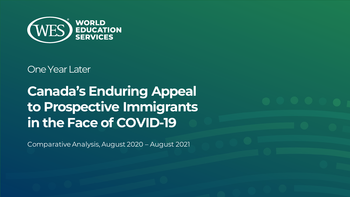

One Year Later

**Canada's Enduring Appeal to Prospective Immigrants in the Face of COVID-19** 

Comparative Analysis, August 2020 – August 2021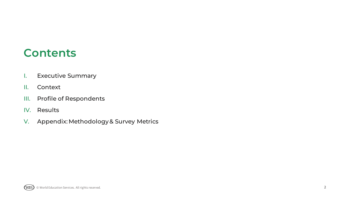## **Contents**

- I. [Executive Summary](#page-2-0)
- [II. Context](#page-4-0)
- [III. Profile of Respondents](#page-7-0)
- [IV. Results](#page-10-0)
- [V. Appendix: Methodology & Survey Metrics](#page-24-0)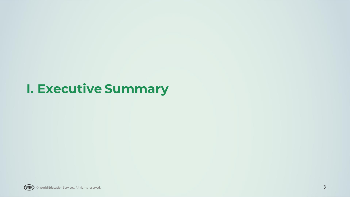## <span id="page-2-0"></span>**I. Executive Summary**

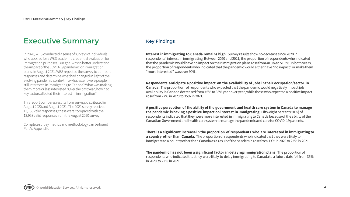## **Executive Summary**

In 2020, WES conducted a series of surveys of individuals who applied for a WES academic credential evaluation for immigration purposes. Our goal was to better understand the impact of the COVID-19 pandemic on immigration plans. In August 2021, WES repeated the survey to compare responses and determine what had changed in light of the evolving pandemic context: To what extent were people still interested in immigrating to Canada? What was making them more or less interested? Over the past year, how had key factors affected their interest in immigration?

This report compares results from surveys distributed in August 2020 and August 2021. The 2021 survey received 13,138 valid responses; these were compared with the 13,953 valid responses from the August 2020 survey.

Complete survey metrics and methodology can be found in Part V: Appendix.

#### **Key Findings**

**Interest in immigrating to Canada remains high.** Survey results show no decrease since 2020 in respondents' interest in immigrating. Between 2020 and 2021, the proportion of respondents who indicated that the pandemic would have no impact on their immigration plans rose from 48.3% to 51.5%. In both years, the proportion of respondents who indicated that the pandemic would either have "no impact" or make them "more interested" was over 90%.

**Respondents anticipate a positive impact on the availability of jobs in their occupation/sector in Canada.** The proportion of respondents who expected that the pandemic would negatively impact job availability in Canada decreased from 45% to 33% year over year, while those who expected a positive impact rose from 27% in 2020 to 35% in 2021.

**A positive perception of the ability of the government and health care system in Canada to manage the pandemic is having a positive impact on interest in immigrating**. Fifty-eight percent (58%) of respondents indicated that they were more interested in immigrating to Canada because of the ability of the Canadian Government and health care system to manage the pandemic and care for COVID-19 patients.

**There is a significant increase in the proportion of respondents who are interested in immigrating to a country other than Canada.** The proportion of respondentswho indicated that they were likely to immigrate to a country other than Canada as a result of the pandemic rose from 13% in 2020 to 22% in 2021.

**The pandemic has not been a significant factor in delaying immigration plans**. The proportion of respondents who indicated that they were likely to delay immigrating to Canada to a future date fell from 35% in 2020 to 21% in 2021.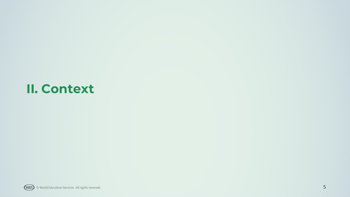## <span id="page-4-0"></span>**II. Context**

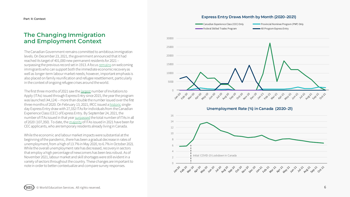#### **Part II: Context**

#### **The Changing Immigration and Employment Context**

The Canadian Government remains committed to ambitious immigration levels. On December 23, 2021, the government announced that it had reached its target of 401,000 new permanent residents for 2021 – surpassing the previous record set in 1913. A focus [remains](https://pm.gc.ca/en/mandate-letters/2021/01/15/archived-minister-immigration-refugees-and-citizenship-supplementary) on welcoming immigrants who can support both the immediate economic recovery as well as longer-term labour market needs; however, important emphasis is also placed on family reunification and refugee resettlement, particularly in the context of ongoing refugee crises around the world.

The first three months of 2021 saw the [largest](https://www.cicnews.com/2021/04/express-entry-q1-2021-report-canada-smashes-record-as-it-eyes-401000-immigration-goal-0417684.html#gs.echl54) number of Invitations to Apply (ITAs) issued through Express Entry since 2015, the year the program was launched (44,124) – more than double the number issued over the first three months of 2020. On February 13, 2021, IRCC issued a [historic](https://www.canada.ca/en/immigration-refugees-citizenship/news/notices/skilled-workers-in-canada.html) singleday Express Entry draw with 27,332 ITAs for individuals from the Canadian Experience Class (CEC) of Express Entry. By September 24, 2021, the number of ITAs issued in that year [surpassed](https://www.immigration.ca/canada-surpasses-annual-express-entry-ita-record-with-months-to-spare) the total number of ITAs in all of 2020 (107,350). To date, the [majority](https://www.canada.ca/en/immigration-refugees-citizenship/corporate/mandate/policies-operational-instructions-agreements/ministerial-instructions/express-entry-rounds.html)of ITAs issued in 2021 have been for CEC applicants, who are temporary residents already living in Canada.

While the economic and labour market impacts were substantial at the beginning of the pandemic, there has been a gradual decrease in rates of unemployment, from a high of 13.7% in May 2020, to 6.7% in October 2021. While the overall unemployment rate has decreased, recovery in sectors that employ a high percentage of newcomers has been less robust. As of November 2021, labour market and skill shortages were still evident in a variety of sectors throughout the country. These changes are important to note in order to better contextualize and compare survey responses.

#### **Express Entry Draws Month by Month (2020–2021)**

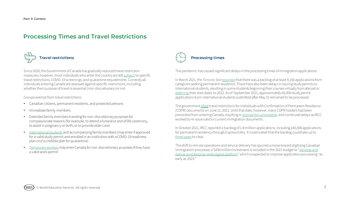### **Processing Times and Travel Restrictions**



Since 2020, the Government of Canada has gradually reduced travel restriction measures; however, most individuals who enter the country are still [subject](https://www.canada.ca/en/immigration-refugees-citizenship/corporate/publications-manuals/operational-bulletins-manuals/service-delivery/coronavirus/travel-restrictions.html) to specific travel restrictions, COVID-19 screenings, and quarantine requirements. Currently all individuals entering Canada are assessed against specific restrictions, including whether their purpose of travel is essential (non-discretionary) or not.

Groups exempt from travel restrictions:

- Canadian citizens, permanent residents, and protected persons
- Immediate family members
- Extended family members traveling for non-discretionary purposes for compassionate reasons (for example, to attend a funeral or end of life ceremony, to assist in pregnancy or birth, or to provide elder care)
- [International students](https://www.canada.ca/en/immigration-refugees-citizenship/corporate/publications-manuals/operational-bulletins-manuals/service-delivery/coronavirus/temporary-residence/study-permit/travel.html#sec1.3) and accompanying family members (may enter if approved for a valid study permit and enrolled in an institution with a COVID-19 readiness plan *and* a credible plan for quarantine)
- [Temporary workers](https://www.canada.ca/en/immigration-refugees-citizenship/corporate/publications-manuals/operational-bulletins-manuals/service-delivery/coronavirus/temporary-residence/work-permit.html) may enter Canada for non-discretionary purposes if they have a valid work permit



The pandemic has caused significant delays in the processing times of immigration applications.

In March 2021, the *Toronto Star*[reported](https://www.thestar.com/news/canada/2021/03/27/nanny-state-canada-has-left-its-foreign-caregivers-in-a-stalled-system-thats-derailing-lives-critics-say.html) that there was a backlog of at least 9,100 applications from caregivers seeking permanent residence. There have also been delays in issuing study permits to international students, resulting in some students beginning their courses virtually from abroad or [deferring](https://thepienews.com/news/canada-international-students-defer-to-january-2022/) their start dates to 2022. As of September 2021, approximately 60,000 study permit applications from international students submitted after May 15 remained to be processed.

The government [lifted](https://www.cicnews.com/2021/10/express-entry-q3-2021-focus-on-cec-and-pnp-candidates-1019351.html#gs.fgjxn5) travel restrictions for individuals with Confirmation of Permanent Residence (COPR) documents on June 21, 2021. Until that date, however, many COPR holders had been prevented from entering Canada, resulting in [expired documentation](https://www.cicnews.com/2021/08/future-canadians-still-cannot-immigrate-despite-eased-travel-measures-0818622.html#gs.fghctm) and continued delays as IRCC worked to re-issue valid or current immigration documents.

In October 2021, IRCC reported a backlog of 1.8 million applications, including 140,000 applications for permanent residency through Express Entry. It is estimated that the backlog could take up to [three years](https://www.cicnews.com/2021/11/canadian-politicians-take-to-social-media-to-highlight-issues-at-ircc-1119609.html#gs.fokrom) to clear.

The shift to remote operations and service delivery has spurred a move toward digitizing Canadian [immigration processes; a \\$430 million investment is included in the 2021 budget to "](https://www.immigration.ca/canada-budget-2021-boosts-immigration-programs)develop and deliver an enterprise-wide digital platform" which is expected to improve application processing "as early as 2023."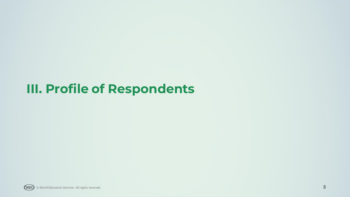# <span id="page-7-0"></span>**III. Profile of Respondents**

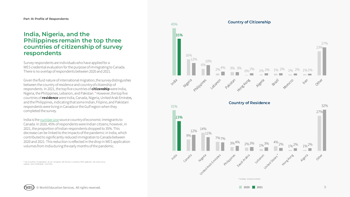#### **India, Nigeria, and the Philippines remain the top three countries of citizenship of survey respondents**

Survey respondents are individuals who have applied for a WES credential evaluation for the purpose of immigrating to Canada. There is no overlap of respondents between 2020 and 2021.

Given the fluid nature of international migration, the survey distinguishes between the country of residence and country of citizenship of respondents. In 2021, the top five countries of **citizenship**were India, Nigeria, the Philippines, Lebanon, and Pakistan.\* However, the top five countries of **residence** were India, Canada, Nigeria, United Arab Emirates, and the Philippines, indicating that some Indian, Filipino, and Pakistani respondents were living in Canada or the Gulf region when they completed the survey.

India is the [number one](https://www.canada.ca/en/immigration-refugees-citizenship/corporate/publications-manuals/annual-report-parliament-immigration-2020.html) source country of economic immigrants to Canada. In 2020, 45% of respondents were Indian citizens; however, in 2021, the proportion of Indian respondents dropped to 35%. This decrease can be linked to the impacts of the pandemic in India, which contributed to significantly reduced immigration to Canada between 2020 and 2021. This reduction is reflected in the drop in WES application volumes from India during the early months of the pandemic.

\* Top 5 countries of respondents do not correspond with the top 5 countries of WES applicants due to low survey response rates of individuals from China.

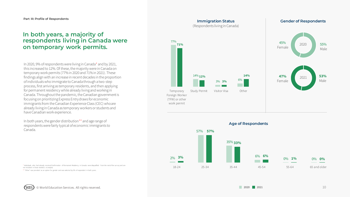#### **In both years, a majority of respondents living in Canada were on temporary work permits.**

In 2020, 9% of respondents were living in Canada\* and by 2021, this increased to 12%. Of these, the majority were in Canada on temporary work permits (77% in 2020 and 71% in 2021). These findings align with an increase in recent decades in the proportion of individuals who immigrate to Canada through a two-step process, first arriving as temporary residents, and then applying for permanent residency while already living and working in Canada. Throughout the pandemic, the Canadian government is focusing on prioritizing Express Entry draws for economic immigrants from the Canadian Experience Class (CEC) who are already living in Canada as temporary workers or students and have Canadian work experience.

In both years, the gender distribution\*\* and age range of respondents were fairly typical of economic immigrants to Canada.

\* Individuals who had already received Confirmation of Permanent Residency in Canada were disqualified from the rest of the survey and are not included in these statistics or analysis.

\*\* "Other" was provided as an option for gender and was selected by 0% of respondent in both years.

(WES)



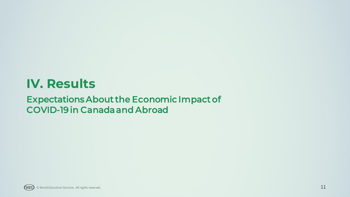## <span id="page-10-0"></span>**IV. Results**

## Expectations About the Economic Impact of COVID-19 in Canada and Abroad

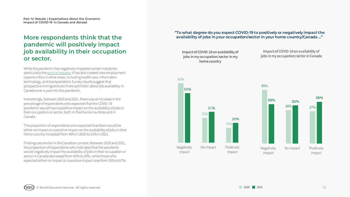### **More respondents think that the pandemic will positively impact job availability in their occupation or sector.**

While the pandemic has negatively impacted certain industries, particularly the [service industry,](https://www150.statcan.gc.ca/n1/pub/45-28-0001/2021001/article/00020-eng.htm) it has also created new employment opportunities in other areas, including health care, information technology, and transportation. Survey results suggest that prospective immigrants are more optimistic about job availability in Canada over a year into the pandemic.

Interestingly, between 2020 and 2021, there was an increase in the percentage of respondents who expected that the COVID-19 pandemic would have a positive impact on the availability of jobs in their occupation or sector, both in their home countries and in Canada.

The proportion of respondents who expected that there would be either no impact or a positive impact on the availability of jobs in their home country increased from 40% in 2020 to 51% in 2021.

Findings are similar in the Canadian context: Between 2020 and 2021, the proportion of respondents who indicated that the pandemic would negatively impact the availability of jobs in their occupation or sector in Canada decreased from 45% to 33%, while those who expected either no impact or a positive impact rose from 55% to 67%. **"To what degree do you expect COVID-19 to positively or negatively impact the availability of jobs in your occupation/sector in your home country/Canada …"** 

Impact of COVID-19 on availability of jobs in my occupation/sector in my home country

Impact of COVID-19 on availability of jobs in my occupation/sector in Canada

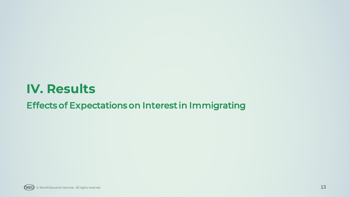## **IV. Results**

## Effects of Expectations on Interest in Immigrating

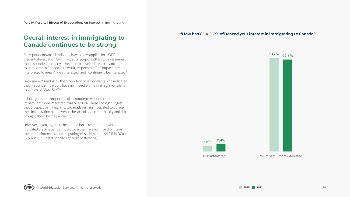#### **Overall interest in immigrating to Canada continues to be strong.**

As respondents are all individuals who have applied for a WES credential evaluation for immigration purposes, this survey assumes that respondents already have a certain level of interest in and intent to immigrate to Canada. As a result, responses of "no impact" are interpreted to mean "I was interested, and I continue to be interested."

Between 2020 and 2021, the proportion of respondents who indicated that the pandemic would have no impact on their immigration plans rose from 48.3% to 51.5%.

In both years, the proportion of respondents who indicated "no impact" or "more interested" was over 90%. These findings suggest that prospective immigrants to Canada remain motivated to pursue their immigration plans even in the face of added complexity and risk brought about by the pandemic.

However, taken together, the proportion of respondents who indicated that the pandemic would either have no impact or make them more interested in immigrating fell slightly, from 94.2% in 2020 to 92.5% in 2021 (a statistically significant difference).

**"How has COVID-19 influenced your interest in immigrating to Canada?"** 

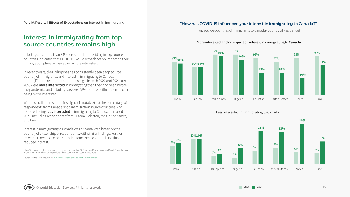### **Interest in immigrating from top source countries remains high.**

In both years, more than 84% of respondents residing in top source countries indicated that COVID-19 would either have no impact on their immigration plans or make them more interested.

In recent years, the Philippines has consistently been a top source country of immigrants, and interest in immigrating to Canada among Filipino respondents remains high. In both 2020 and 2021, over 70% were **more interested** in immigrating than they had been before the pandemic, and in both years over 95% reported either no impact or beingmore interested.

While overall interest remains high, it is notable that the percentage of respondents from Canada's top immigration source countries who reported being **less interested** in immigrating to Canada increased in 2021, including respondents from Nigeria, Pakistan, the United States, and Iran. \*

Interest in immigrating to Canada was also analyzed based on the country of citizenship of respondents, with similar findings. Further research is needed to better understand the reasons behind this reduced interest.

\* Top 10 source countries of permanent residents to Canada in 2019 included Syria, Eritrea, and South Korea. Because of the low number of survey respondents, these countries are not visualized here.

Source for top source countries: 2020 Annual Report to Parliament on Immigration

#### **"How has COVID-19 influenced your interest in immigrating to Canada?"**

Top source countries of immigrants to Canada (Country of Residence)



More interested and no impact on interest in immigrating to Canada





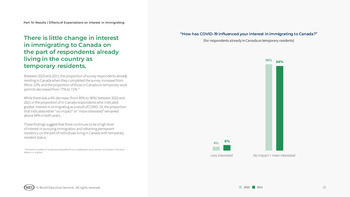### **There is little change in interest in immigrating to Canada on the part of respondents already living in the country as temporary residents.**

Between 2020 and 2021, the proportion of survey respondents already residing in Canada when they completed the survey increased from 9% to 12%, and the proportion of those in Canada on temporary work permits decreased from 77% to 71%.\*

While there was a 4% decrease (from 40% to 36%) between 2020 and 2021 in the proportion of in-Canada respondents who indicated greater interest in immigrating as a result of COVID-19, the proportion that indicated either "no impact" or "more interested" remained above 94% in both years.

These findings suggest that there continues to be a high level of interest in pursuing immigration and obtaining permanent residency on the part of individuals living in Canada with temporary resident status.

\* Permanent residents of Canada were disqualified from completing the survey and are not included in the above statistics or analysis.

#### **"How has COVID-19 influenced your interest in immigrating to Canada?"**

(for respondents already in Canada as temporary residents)

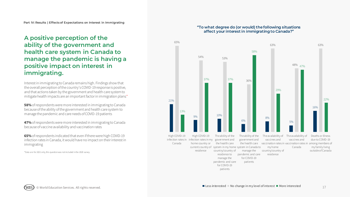## **A positive perception of the ability of the government and health care system in Canada to manage the pandemic is having a positive impact on interest in immigrating.**

Interest in immigrating to Canada remains high. Findings show that the overall perception of the country's COVID-19 response is positive, and that actions taken by the government and health care system to mitigate health impacts are an important factor in immigration plans:\*

**58%** of respondents were more interested in immigrating to Canada because of the ability of the government and health care system to manage the pandemic and care needs of COVID-19 patients

**47%** of respondents were more interested in immigrating to Canada because of vaccine availability and vaccination rates

**65%** of respondents indicated that even if there were high COVID-19 infection rates in Canada, it would have no impact on their interest in immigrating

\*Data are for 2021 only, this question was not included in the 2020 survey.



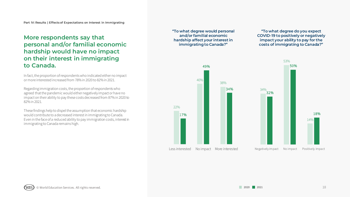## **More respondents say that personal and/or familial economic hardship would have no impact on their interest in immigrating to Canada.**

In fact, the proportion of respondents who indicated either no impact or more interested increased from 78% in 2020 to 82% in 2021.

Regarding immigration costs, the proportion of respondents who agreed that the pandemic would either negatively impact or have no impact on their ability to pay these costs decreased from 87% in 2020 to 82% in 2021.

These findings help to dispel the assumption that economic hardship would contribute to a decreased interest in immigrating to Canada. Even in the face of a reduced ability to pay immigration costs, interest in immigrating to Canada remains high.

**"To what degree would personal and/or familial economic hardship affect your interest in immigrating to Canada?"** 

**"To what degree do you expect COVID-19 to positively or negatively impact your ability to pay for the costs of immigrating to Canada?"** 



© World Education Services. All rights reserved. 18 and 18 and 18 and 18 and 18 and 18 and 18 and 18 and 18 and 18 and 18 and 18 and 18 and 18 and 18 and 18 and 18 and 18 and 18 and 18 and 18 and 18 and 18 and 18 and 18 a WES)

2020 2021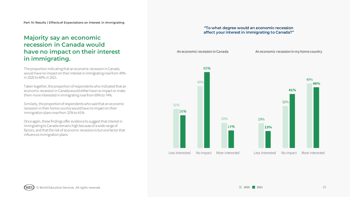## **Majority say an economic recession in Canada would have no impact on their interest in immigrating.**

The proportion indicating that an economic recession in Canada would have no impact on their interest in immigrating rose from 49% in 2020 to 60% in 2021.

Taken together, the proportion of respondents who indicated that an economic recession in Canada would either have no impact or make them more interested in immigrating rose from 69% to 74%.

Similarly, the proportion of respondents who said that an economic recession in their home country would have no impact on their immigration plans rose from 32% to 41%.

Once again, these findings offer evidence to suggest that interest in immigrating to Canada remains high because of a wide range of factors, and that the risk of economic recession is but one factor that influences immigration plans.

#### **"To what degree would an economic recession affect your interest in immigrating to Canada?"**

An economic recession in Canada

An economic recession in my home country

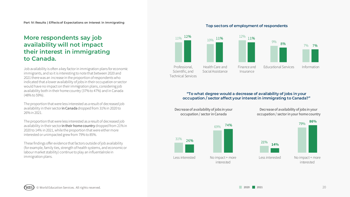## **More respondents say job availability will not impact their interest in immigrating to Canada.**

Job availability is often a key factor in immigration plans for economic immigrants, and so it is interesting to note that between 2020 and 2021 there was an increase in the proportion of respondents who indicated that a lower availability of jobs in their occupation or sector would have no impact on their immigration plans, considering job availability both in their home country (37% to 47%) and in Canada (48% to 59%).

The proportion that were less interested as a result of decreased job availability in their sector in Canada dropped from 31% in 2020 to 26% in 2021.

The proportion that were less interested as a result of decreased job availability in their sector in their home country dropped from 21% in 2020 to 14% in 2021, while the proportion that were either more interested or unimpacted grew from 79% to 85%.

These findings offer evidence that factors outside of job availability (for example, family ties, strength of health systems, and economic or labour market stability) continue to play an influentialrole in immigration plans.

#### **Top sectors of employment of respondents**



#### **"To what degree would a decrease of availability of jobs in your occupation / sector affect your interest in immigrating to Canada?"**



Decrease of availability of jobs in your occupation / sector in your home country

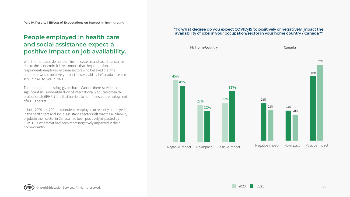### **People employed in health care and social assistance expect a positive impact on job availability.**

With the increased demand on health systems and social assistance due to the pandemic, it is reasonable that the proportion of respondents employed in these sectors who believed that the pandemic would positively impact job availability in Canada rose from 49% in 2020 to 57% in 2021.

This finding is interesting, given that in Canada there is evidence of significant skill underutilization of internationally educated health professionals (IEHPs) and that barriers to commensurate employment of IEHPs persist.

In both 2020 and 2021, respondents employed or recently employed in the health care and social assistance sectors felt that the availability of jobs in their sector in Canada had been positively impacted by COVID-19, whereas it had been more negatively impacted in their home country.

#### **"To what degree do you expect COVID-19 to positively or negatively impact the availability of jobs in your occupation/sector in your home country / Canada?"**



© World Education Services. All rights reserved. 21 WES)

2021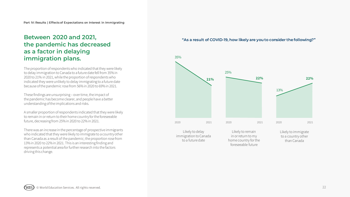## **Between 2020 and 2021, the pandemic has decreased as a factor in delaying immigration plans.**

The proportion of respondents who indicated that they were likely to delay immigration to Canada to a future date fell from 35% in 2020 to 21% in 2021, while the proportion of respondents who indicated they were unlikely to delay immigrating to a future date because of the pandemic rose from 56% in 2020 to 69% in 2021.

These findings are unsurprising – over time, the impact of thepandemic has become clearer, and people have a better understanding of the implications and risks.

A smaller proportion of respondents indicated that they were likely to remain in or return to their home country for the foreseeable future, decreasing from 25% in 2020 to 22% in 2021.

There was an increase in the percentage of prospective immigrants who indicated that they were likely to immigrate to a country other than Canada as a result of the pandemic; the proportion rose from 13% in 2020 to 22% in 2021. This is an interesting finding and represents a potential area for further research into the factors driving this change.

#### **"As a result of COVID-19, how likely are you to consider the following?"**

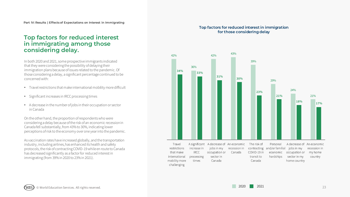#### **Top factors for reduced interest in immigrating among those considering delay.**

In both 2020 and 2021, some prospective immigrants indicated that they were considering the possibility of delaying their immigration plans because of issues related to the pandemic. Of those considering a delay, a significant percentage continued to be concerned with:

- Travel restrictions that make international mobility more difficult
- Significant increases in IRCC processing times
- A decrease in the number of jobs in their occupation or sector in Canada

On the other hand, the proportion of respondents who were considering a delay because of the risk of an economic recession in Canada fell substantially, from 43% to 30%, indicating lower perceptions of risk to the economy over one year into the pandemic.

As vaccination rates have increased globally, and the transportation industry, including airlines, has enhanced its health and safety protocols, the risk of contracting COVID-19 while en route to Canada has decreased significantly as a factor for reduced interest in immigrating (from 39% in 2020 to 23% in 2021).

#### **Top factors for reduced interest in immigration for those considering delay**

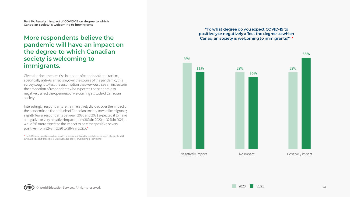### **More respondents believe the pandemic will have an impact on the degree to which Canadian society is welcoming to immigrants.**

Given the documented rise in reports of xenophobia and racism, specifically anti-Asian racism, over the course of the pandemic, this survey sought to test the assumption that we would see an increase in the proportion of respondents who expected the pandemic to negatively affect the openness or welcoming attitude of Canadian society.

Interestingly, respondents remain relatively divided over the impact of the pandemic on the attitude of Canadian society toward immigrants; slightly fewer respondents between 2020 and 2021 expected it to have a negative or very negative impact (from 36% in 2020 to 32% in 2021), while 6% more expected the impact to be either positive or very positive (from 32% in 2020 to 38% in 2021).\*

\* The 2020 survey asked respondents about "the openness of Canadian society to immigrants," whereas the 2021 survey asked about "the degree to which Canadian society is welcoming to immigrants."

#### **"To what degree do you expect COVID-19 to positively or negatively affect the degree to which Canadian society is welcoming to immigrants?" \***



WES)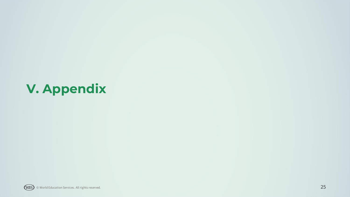# <span id="page-24-0"></span>**V. Appendix**

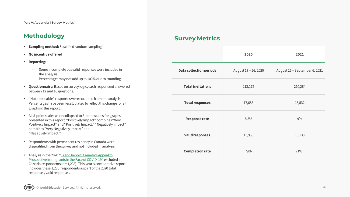## **Methodology**

- **Sampling method:** Stratified random sampling
- **No incentive offered**
- **Reporting:**
	- Some incomplete but valid responses were included in the analysis.
	- Percentages may not add up to 100% due to rounding.
- **Questionnaire:** Based on survey logic, each respondent answered between 12 and 16 questions.
- "Not applicable" responses were excluded from the analysis. Percentages have been recalculated to reflect this change for all graphs in this report.
- All 5-point scales were collapsed to 3-point scales for graphs presented in this report. "Positively Impact" combines "Very Positively Impact" and "Positively Impact." "Negatively Impact" combines "Very Negatively Impact" and "Negatively Impact."
- Respondents with permanent residency in Canada were disqualified from the survey and not included in analysis.
- [Analysis in the 2020 "Trend Report: Canada's Appeal to](https://knowledge.wes.org/canada-report-immigration-trends-canadas-appeal-to-prospective-immigrants-in-the-face-of-covid-19.html)  Prospective Immigrants in the Face of COVID-19" excluded in-Canada respondents (n = 1,236). This year's comparative report includes these 1,236 respondents as part of the 2020 total responses/valid responses.

## **Survey Metrics**

|                                | 2020                 | 2021                          |
|--------------------------------|----------------------|-------------------------------|
| <b>Data collection periods</b> | August 17 - 26, 2020 | August 25 - September 6, 2021 |
| <b>Total invitations</b>       | 213,172              | 210,264                       |
| <b>Total responses</b>         | 17,688               | 18,532                        |
| <b>Response rate</b>           | 8.3%                 | 9%                            |
| <b>Valid responses</b>         | 13,953               | 13,138                        |
| <b>Completion rate</b>         | 79%                  | 71%                           |